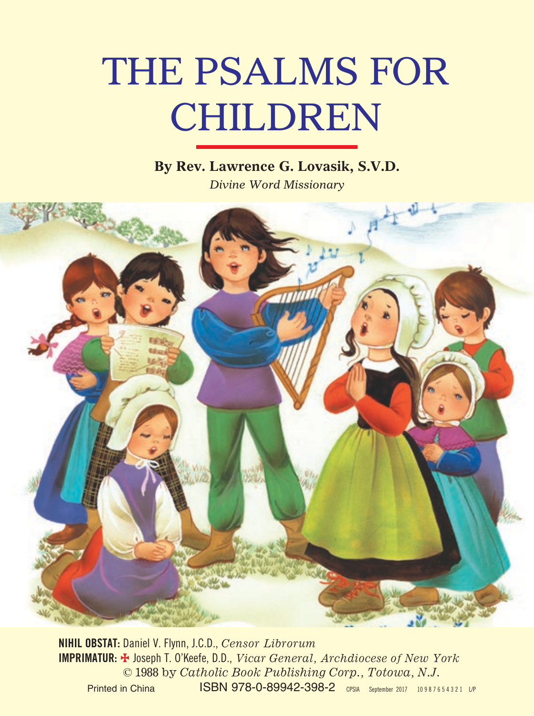# THE PSALMS FOR CHILDREN

### **By Rev. Lawrence G. Lovasik, S.V.D.**

*Divine Word Missionary*



**NIHIL OBSTAT:** Daniel V. Flynn, J.C.D., *Censor Librorum* **IMPRIMATUR:** = Joseph T. O'Keefe, D.D., *Vicar General, Archdiocese of New York* © 1988 by *Catholic Book Publishing Corp., Totowa, N.J.* Printed in China **ISBN 978-0-89942-398-2** CPSIA September 2017 10987654321 LP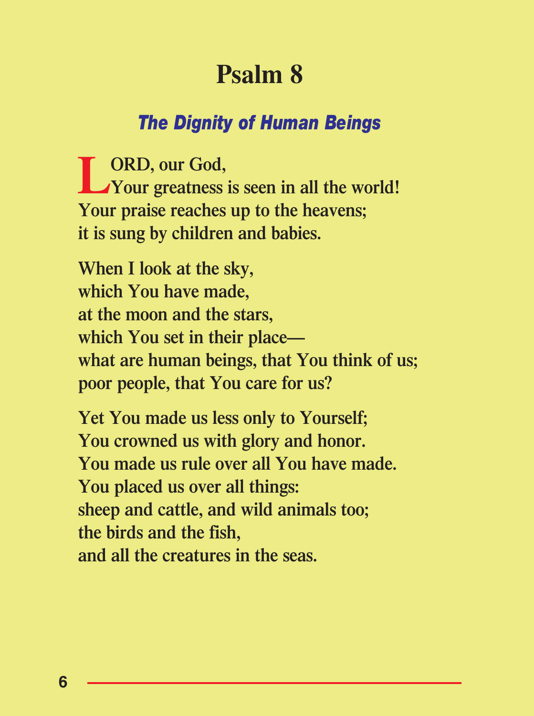## **Psalm 8**

#### *The Dignity of Human Beings*

**LORD, our God, Your greatness is seen in all the world! Your praise reaches up to the heavens; it is sung by children and babies.**

**When I look at the sky, which You have made, at the moon and the stars, which You set in their place what are human beings, that You think of us; poor people, that You care for us?**

**Yet You made us less only to Yourself; You crowned us with glory and honor. You made us rule over all You have made. You placed us over all things: sheep and cattle, and wild animals too; the birds and the fish, and all the creatures in the seas.**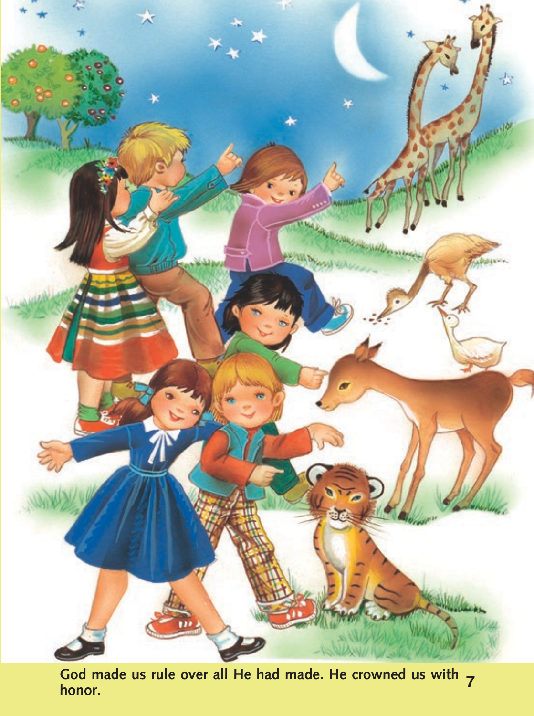

**God made us rule over all He had made. He crowned us with honor. <sup>7</sup>**